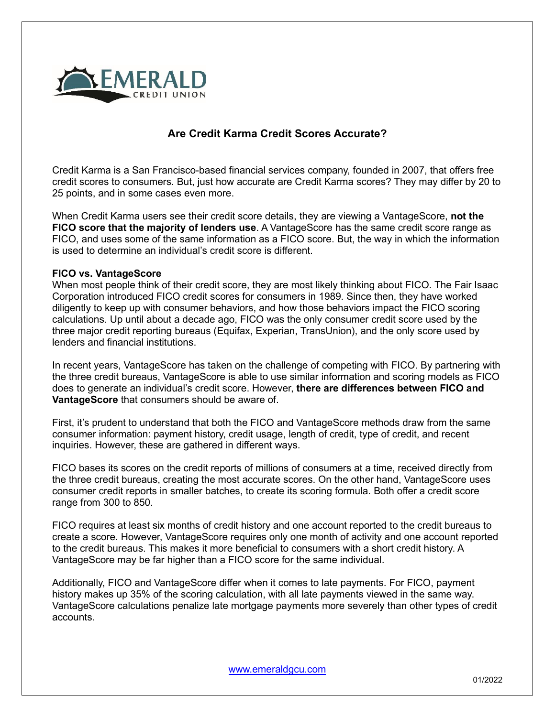

## **Are Credit Karma Credit Scores Accurate?**

Credit Karma is a San Francisco-based financial services company, founded in 2007, that offers free credit scores to consumers. But, just how accurate are Credit Karma scores? They may differ by 20 to 25 points, and in some cases even more.

When Credit Karma users see their credit score details, they are viewing a VantageScore, **not the FICO score that the majority of lenders use**. A VantageScore has the same credit score range as FICO, and uses some of the same information as a FICO score. But, the way in which the information is used to determine an individual's credit score is different.

## **FICO vs. VantageScore**

When most people think of their credit score, they are most likely thinking about FICO. The Fair Isaac Corporation introduced FICO credit scores for consumers in 1989. Since then, they have worked diligently to keep up with consumer behaviors, and how those behaviors impact the FICO scoring calculations. Up until about a decade ago, FICO was the only consumer credit score used by the three major credit reporting bureaus (Equifax, Experian, TransUnion), and the only score used by lenders and financial institutions.

In recent years, VantageScore has taken on the challenge of competing with FICO. By partnering with the three credit bureaus, VantageScore is able to use similar information and scoring models as FICO does to generate an individual's credit score. However, **there are differences between FICO and VantageScore** that consumers should be aware of.

First, it's prudent to understand that both the FICO and VantageScore methods draw from the same consumer information: payment history, credit usage, length of credit, type of credit, and recent inquiries. However, these are gathered in different ways.

FICO bases its scores on the credit reports of millions of consumers at a time, received directly from the three credit bureaus, creating the most accurate scores. On the other hand, VantageScore uses consumer credit reports in smaller batches, to create its scoring formula. Both offer a credit score range from 300 to 850.

FICO requires at least six months of credit history and one account reported to the credit bureaus to create a score. However, VantageScore requires only one month of activity and one account reported to the credit bureaus. This makes it more beneficial to consumers with a short credit history. A VantageScore may be far higher than a FICO score for the same individual.

Additionally, FICO and VantageScore differ when it comes to late payments. For FICO, payment history makes up 35% of the scoring calculation, with all late payments viewed in the same way. VantageScore calculations penalize late mortgage payments more severely than other types of credit accounts.